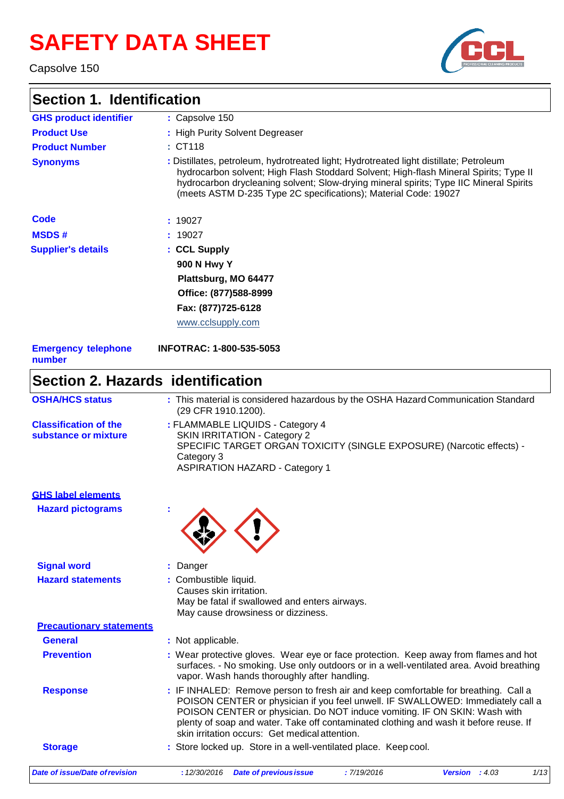# **SAFETY DATA SHEET**

Capsolve 150

# **Section 1. Identification**



|                                                      | : Capsolve 150                                                                                                                                                                                                                                                                                                                                                                                 |
|------------------------------------------------------|------------------------------------------------------------------------------------------------------------------------------------------------------------------------------------------------------------------------------------------------------------------------------------------------------------------------------------------------------------------------------------------------|
| <b>GHS product identifier</b><br><b>Product Use</b>  | : High Purity Solvent Degreaser                                                                                                                                                                                                                                                                                                                                                                |
|                                                      | : CT118                                                                                                                                                                                                                                                                                                                                                                                        |
| <b>Product Number</b><br><b>Synonyms</b>             | : Distillates, petroleum, hydrotreated light; Hydrotreated light distillate; Petroleum<br>hydrocarbon solvent; High Flash Stoddard Solvent; High-flash Mineral Spirits; Type II<br>hydrocarbon drycleaning solvent; Slow-drying mineral spirits; Type IIC Mineral Spirits<br>(meets ASTM D-235 Type 2C specifications); Material Code: 19027                                                   |
| Code                                                 | : 19027                                                                                                                                                                                                                                                                                                                                                                                        |
| <b>MSDS#</b>                                         | 19027                                                                                                                                                                                                                                                                                                                                                                                          |
| <b>Supplier's details</b>                            | : CCL Supply                                                                                                                                                                                                                                                                                                                                                                                   |
|                                                      | <b>900 N Hwy Y</b>                                                                                                                                                                                                                                                                                                                                                                             |
|                                                      | Plattsburg, MO 64477                                                                                                                                                                                                                                                                                                                                                                           |
|                                                      | Office: (877)588-8999                                                                                                                                                                                                                                                                                                                                                                          |
|                                                      | Fax: (877)725-6128                                                                                                                                                                                                                                                                                                                                                                             |
|                                                      | www.cclsupply.com                                                                                                                                                                                                                                                                                                                                                                              |
| <b>Emergency telephone</b><br>number                 | <b>INFOTRAC: 1-800-535-5053</b>                                                                                                                                                                                                                                                                                                                                                                |
|                                                      | Section 2. Hazards identification                                                                                                                                                                                                                                                                                                                                                              |
| <b>OSHA/HCS status</b>                               | : This material is considered hazardous by the OSHA Hazard Communication Standard<br>(29 CFR 1910.1200).                                                                                                                                                                                                                                                                                       |
| <b>Classification of the</b><br>substance or mixture | : FLAMMABLE LIQUIDS - Category 4<br><b>SKIN IRRITATION - Category 2</b><br>SPECIFIC TARGET ORGAN TOXICITY (SINGLE EXPOSURE) (Narcotic effects) -<br>Category 3<br><b>ASPIRATION HAZARD - Category 1</b>                                                                                                                                                                                        |
| <b>GHS label elements</b>                            |                                                                                                                                                                                                                                                                                                                                                                                                |
| <b>Hazard pictograms</b>                             |                                                                                                                                                                                                                                                                                                                                                                                                |
| <b>Signal word</b>                                   | Danger                                                                                                                                                                                                                                                                                                                                                                                         |
| <b>Hazard statements</b>                             |                                                                                                                                                                                                                                                                                                                                                                                                |
|                                                      | : Combustible liquid.<br>Causes skin irritation.<br>May be fatal if swallowed and enters airways.<br>May cause drowsiness or dizziness.                                                                                                                                                                                                                                                        |
| <b>Precautionary statements</b>                      |                                                                                                                                                                                                                                                                                                                                                                                                |
| <b>General</b>                                       | : Not applicable.                                                                                                                                                                                                                                                                                                                                                                              |
| <b>Prevention</b>                                    | : Wear protective gloves. Wear eye or face protection. Keep away from flames and hot<br>surfaces. - No smoking. Use only outdoors or in a well-ventilated area. Avoid breathing<br>vapor. Wash hands thoroughly after handling.                                                                                                                                                                |
| <b>Response</b>                                      | : IF INHALED: Remove person to fresh air and keep comfortable for breathing. Call a<br>POISON CENTER or physician if you feel unwell. IF SWALLOWED: Immediately call a<br>POISON CENTER or physician. Do NOT induce vomiting. IF ON SKIN: Wash with<br>plenty of soap and water. Take off contaminated clothing and wash it before reuse. If<br>skin irritation occurs: Get medical attention. |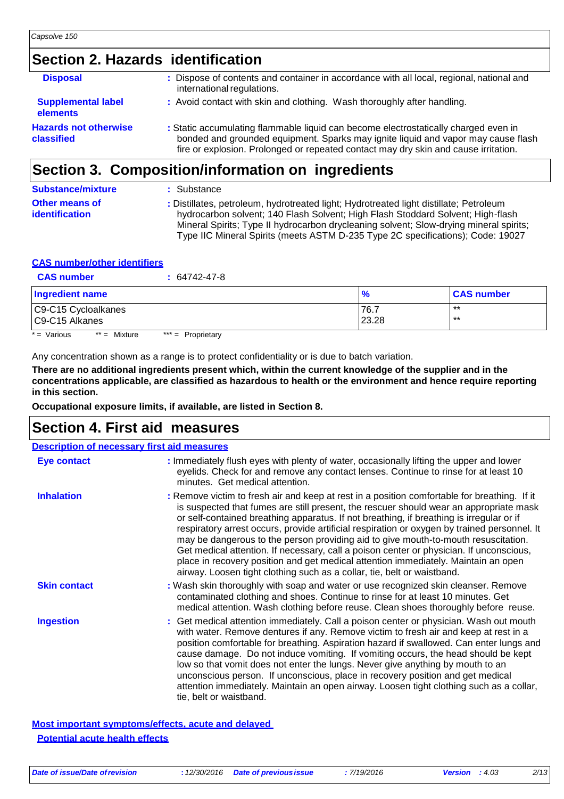### **Section 2. Hazards identification**

| <b>Disposal</b>                            | : Dispose of contents and container in accordance with all local, regional, national and<br>international regulations.                                                                                                                                          |
|--------------------------------------------|-----------------------------------------------------------------------------------------------------------------------------------------------------------------------------------------------------------------------------------------------------------------|
| <b>Supplemental label</b><br>elements      | : Avoid contact with skin and clothing. Wash thoroughly after handling.                                                                                                                                                                                         |
| <b>Hazards not otherwise</b><br>classified | : Static accumulating flammable liquid can become electrostatically charged even in<br>bonded and grounded equipment. Sparks may ignite liquid and vapor may cause flash<br>fire or explosion. Prolonged or repeated contact may dry skin and cause irritation. |
|                                            |                                                                                                                                                                                                                                                                 |

#### **Section 3. Composition/information on ingredients**

| <b>Substance/mixture</b>         | : Substance                                                                                                                                                                                                                                                                                                                                            |
|----------------------------------|--------------------------------------------------------------------------------------------------------------------------------------------------------------------------------------------------------------------------------------------------------------------------------------------------------------------------------------------------------|
| Other means of<br>identification | : Distillates, petroleum, hydrotreated light; Hydrotreated light distillate; Petroleum<br>hydrocarbon solvent; 140 Flash Solvent; High Flash Stoddard Solvent; High-flash<br>Mineral Spirits; Type II hydrocarbon drycleaning solvent; Slow-drying mineral spirits;<br>Type IIC Mineral Spirits (meets ASTM D-235 Type 2C specifications); Code: 19027 |

#### **CAS number/other identifiers**

| <b>CAS number</b>                      | $: 64742 - 47 - 8$  |               |                   |
|----------------------------------------|---------------------|---------------|-------------------|
| Ingredient name                        |                     | $\frac{9}{6}$ | <b>CAS number</b> |
| C9-C15 Cycloalkanes<br>C9-C15 Alkanes  |                     | 76.7<br>23.28 | $***$<br>$***$    |
| $* = \text{Various}$<br>$**$ = Mixture | $*** =$ Proprietary |               |                   |

Any concentration shown as a range is to protect confidentiality or is due to batch variation.

**There are no additional ingredients present which, within the current knowledge of the supplier and in the concentrations applicable, are classified as hazardous to health or the environment and hence require reporting in this section.**

**Occupational exposure limits, if available, are listed in Section 8.**

#### **Section 4. First aid measures**

| <b>Description of necessary first aid measures</b> |                                                                                                                                                                                                                                                                                                                                                                                                                                                                                                                                                                                                                                                                                                                                      |  |
|----------------------------------------------------|--------------------------------------------------------------------------------------------------------------------------------------------------------------------------------------------------------------------------------------------------------------------------------------------------------------------------------------------------------------------------------------------------------------------------------------------------------------------------------------------------------------------------------------------------------------------------------------------------------------------------------------------------------------------------------------------------------------------------------------|--|
| Eye contact                                        | : Immediately flush eyes with plenty of water, occasionally lifting the upper and lower<br>eyelids. Check for and remove any contact lenses. Continue to rinse for at least 10<br>minutes. Get medical attention.                                                                                                                                                                                                                                                                                                                                                                                                                                                                                                                    |  |
| <b>Inhalation</b>                                  | : Remove victim to fresh air and keep at rest in a position comfortable for breathing. If it<br>is suspected that fumes are still present, the rescuer should wear an appropriate mask<br>or self-contained breathing apparatus. If not breathing, if breathing is irregular or if<br>respiratory arrest occurs, provide artificial respiration or oxygen by trained personnel. It<br>may be dangerous to the person providing aid to give mouth-to-mouth resuscitation.<br>Get medical attention. If necessary, call a poison center or physician. If unconscious,<br>place in recovery position and get medical attention immediately. Maintain an open<br>airway. Loosen tight clothing such as a collar, tie, belt or waistband. |  |
| <b>Skin contact</b>                                | : Wash skin thoroughly with soap and water or use recognized skin cleanser. Remove<br>contaminated clothing and shoes. Continue to rinse for at least 10 minutes. Get<br>medical attention. Wash clothing before reuse. Clean shoes thoroughly before reuse.                                                                                                                                                                                                                                                                                                                                                                                                                                                                         |  |
| <b>Ingestion</b>                                   | : Get medical attention immediately. Call a poison center or physician. Wash out mouth<br>with water. Remove dentures if any. Remove victim to fresh air and keep at rest in a<br>position comfortable for breathing. Aspiration hazard if swallowed. Can enter lungs and<br>cause damage. Do not induce vomiting. If vomiting occurs, the head should be kept<br>low so that vomit does not enter the lungs. Never give anything by mouth to an<br>unconscious person. If unconscious, place in recovery position and get medical<br>attention immediately. Maintain an open airway. Loosen tight clothing such as a collar,<br>tie, belt or waistband.                                                                             |  |

**Most important symptoms/effects, acute and delayed Potential acute health effects**

*Date of issue/Date ofrevision* **:** *12/30/2016 Date of previousissue : 7/19/2016 Version : 4.03 2/13*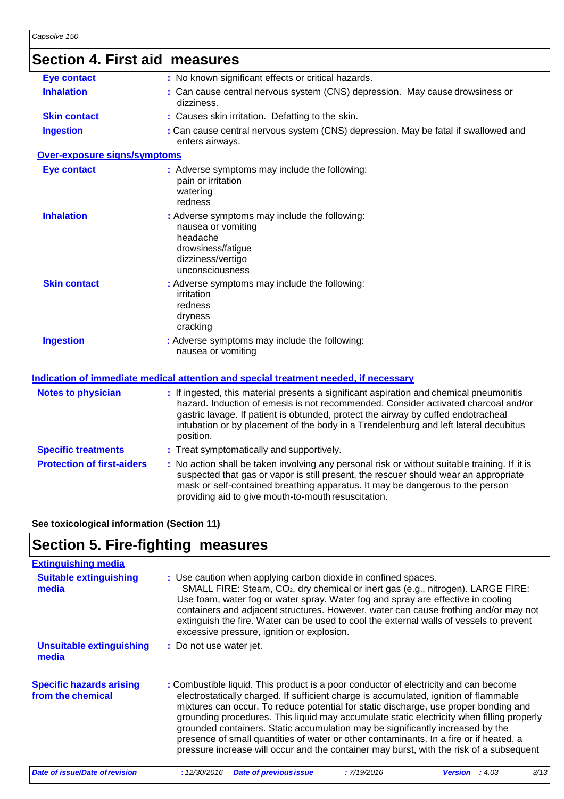|  |  |  | <b>Section 4. First aid measures</b> |
|--|--|--|--------------------------------------|
|--|--|--|--------------------------------------|

| <b>Eye contact</b>                  | : No known significant effects or critical hazards.                                                                                                                                                                                                                                                                                                                     |
|-------------------------------------|-------------------------------------------------------------------------------------------------------------------------------------------------------------------------------------------------------------------------------------------------------------------------------------------------------------------------------------------------------------------------|
| <b>Inhalation</b>                   | : Can cause central nervous system (CNS) depression. May cause drowsiness or<br>dizziness.                                                                                                                                                                                                                                                                              |
| <b>Skin contact</b>                 | : Causes skin irritation. Defatting to the skin.                                                                                                                                                                                                                                                                                                                        |
| <b>Ingestion</b>                    | : Can cause central nervous system (CNS) depression. May be fatal if swallowed and<br>enters airways.                                                                                                                                                                                                                                                                   |
| <b>Over-exposure signs/symptoms</b> |                                                                                                                                                                                                                                                                                                                                                                         |
| <b>Eye contact</b>                  | : Adverse symptoms may include the following:<br>pain or irritation<br>watering<br>redness                                                                                                                                                                                                                                                                              |
| <b>Inhalation</b>                   | : Adverse symptoms may include the following:<br>nausea or vomiting<br>headache<br>drowsiness/fatigue<br>dizziness/vertigo<br>unconsciousness                                                                                                                                                                                                                           |
| <b>Skin contact</b>                 | : Adverse symptoms may include the following:<br>irritation<br>redness<br>dryness<br>cracking                                                                                                                                                                                                                                                                           |
| <b>Ingestion</b>                    | : Adverse symptoms may include the following:<br>nausea or vomiting                                                                                                                                                                                                                                                                                                     |
|                                     | <u>Indication of immediate medical attention and special treatment needed. if necessary</u>                                                                                                                                                                                                                                                                             |
| <b>Notes to physician</b>           | : If ingested, this material presents a significant aspiration and chemical pneumonitis<br>hazard. Induction of emesis is not recommended. Consider activated charcoal and/or<br>gastric lavage. If patient is obtunded, protect the airway by cuffed endotracheal<br>intubation or by placement of the body in a Trendelenburg and left lateral decubitus<br>position. |
| <b>Specific treatments</b>          | : Treat symptomatically and supportively.                                                                                                                                                                                                                                                                                                                               |
| <b>Protection of first-aiders</b>   | : No action shall be taken involving any personal risk or without suitable training. If it is<br>suspected that gas or vapor is still present, the rescuer should wear an appropriate<br>mask or self-contained breathing apparatus. It may be dangerous to the person<br>providing aid to give mouth-to-mouth resuscitation.                                           |

#### **See toxicological information (Section 11)**

# **Section 5. Fire-fighting measures**

| <b>Extinguishing media</b>                           |                                                                                                                                                                                                                                                                                                                                                                                                                                                                                                                                                                                                                                           |
|------------------------------------------------------|-------------------------------------------------------------------------------------------------------------------------------------------------------------------------------------------------------------------------------------------------------------------------------------------------------------------------------------------------------------------------------------------------------------------------------------------------------------------------------------------------------------------------------------------------------------------------------------------------------------------------------------------|
| <b>Suitable extinguishing</b><br>media               | : Use caution when applying carbon dioxide in confined spaces.<br>SMALL FIRE: Steam, CO <sub>2</sub> , dry chemical or inert gas (e.g., nitrogen). LARGE FIRE:<br>Use foam, water fog or water spray. Water fog and spray are effective in cooling<br>containers and adjacent structures. However, water can cause frothing and/or may not<br>extinguish the fire. Water can be used to cool the external walls of vessels to prevent<br>excessive pressure, ignition or explosion.                                                                                                                                                       |
| <b>Unsuitable extinguishing</b><br>media             | : Do not use water jet.                                                                                                                                                                                                                                                                                                                                                                                                                                                                                                                                                                                                                   |
| <b>Specific hazards arising</b><br>from the chemical | : Combustible liquid. This product is a poor conductor of electricity and can become<br>electrostatically charged. If sufficient charge is accumulated, ignition of flammable<br>mixtures can occur. To reduce potential for static discharge, use proper bonding and<br>grounding procedures. This liquid may accumulate static electricity when filling properly<br>grounded containers. Static accumulation may be significantly increased by the<br>presence of small quantities of water or other contaminants. In a fire or if heated, a<br>pressure increase will occur and the container may burst, with the risk of a subsequent |
| <b>Date of issue/Date of revision</b>                | 3/13<br><b>Date of previous issue</b><br>: 7/19/2016<br>: 12/30/2016<br><b>Version</b> : $4.03$                                                                                                                                                                                                                                                                                                                                                                                                                                                                                                                                           |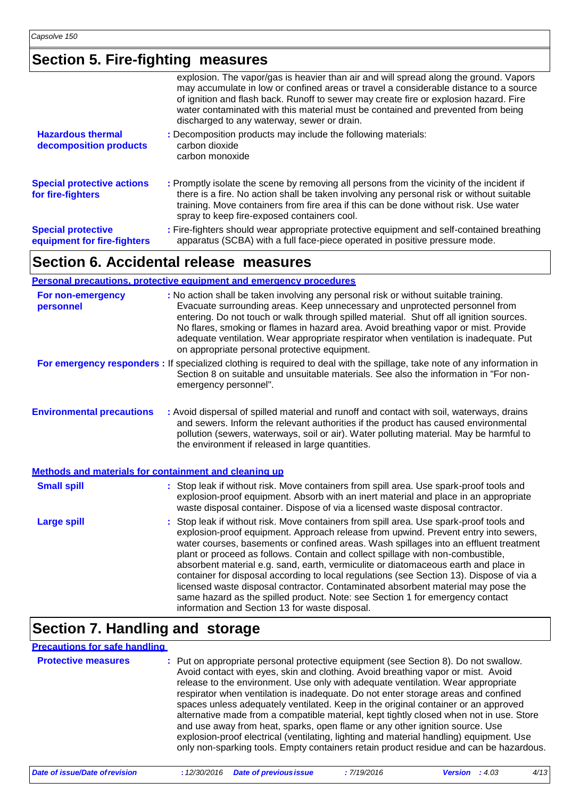### **Section 5. Fire-fighting measures**

| <b>Special protective</b><br>equipment for fire-fighters | : Fire-fighters should wear appropriate protective equipment and self-contained breathing<br>apparatus (SCBA) with a full face-piece operated in positive pressure mode.                                                                                                                                                                                                                                   |
|----------------------------------------------------------|------------------------------------------------------------------------------------------------------------------------------------------------------------------------------------------------------------------------------------------------------------------------------------------------------------------------------------------------------------------------------------------------------------|
| <b>Special protective actions</b><br>for fire-fighters   | : Promptly isolate the scene by removing all persons from the vicinity of the incident if<br>there is a fire. No action shall be taken involving any personal risk or without suitable<br>training. Move containers from fire area if this can be done without risk. Use water<br>spray to keep fire-exposed containers cool.                                                                              |
| <b>Hazardous thermal</b><br>decomposition products       | : Decomposition products may include the following materials:<br>carbon dioxide<br>carbon monoxide                                                                                                                                                                                                                                                                                                         |
|                                                          | explosion. The vapor/gas is heavier than air and will spread along the ground. Vapors<br>may accumulate in low or confined areas or travel a considerable distance to a source<br>of ignition and flash back. Runoff to sewer may create fire or explosion hazard. Fire<br>water contaminated with this material must be contained and prevented from being<br>discharged to any waterway, sewer or drain. |
|                                                          |                                                                                                                                                                                                                                                                                                                                                                                                            |

#### **Section 6. Accidental release measures**

|                                  | <b>Personal precautions, protective equipment and emergency procedures</b>                                                                                                                                                                                                                                                                                                                                                                                                                                                                                                                                                                                                                                                                                           |
|----------------------------------|----------------------------------------------------------------------------------------------------------------------------------------------------------------------------------------------------------------------------------------------------------------------------------------------------------------------------------------------------------------------------------------------------------------------------------------------------------------------------------------------------------------------------------------------------------------------------------------------------------------------------------------------------------------------------------------------------------------------------------------------------------------------|
| For non-emergency<br>personnel   | : No action shall be taken involving any personal risk or without suitable training.<br>Evacuate surrounding areas. Keep unnecessary and unprotected personnel from<br>entering. Do not touch or walk through spilled material. Shut off all ignition sources.<br>No flares, smoking or flames in hazard area. Avoid breathing vapor or mist. Provide<br>adequate ventilation. Wear appropriate respirator when ventilation is inadequate. Put<br>on appropriate personal protective equipment.                                                                                                                                                                                                                                                                      |
|                                  | For emergency responders: If specialized clothing is required to deal with the spillage, take note of any information in<br>Section 8 on suitable and unsuitable materials. See also the information in "For non-<br>emergency personnel".                                                                                                                                                                                                                                                                                                                                                                                                                                                                                                                           |
| <b>Environmental precautions</b> | : Avoid dispersal of spilled material and runoff and contact with soil, waterways, drains<br>and sewers. Inform the relevant authorities if the product has caused environmental<br>pollution (sewers, waterways, soil or air). Water polluting material. May be harmful to<br>the environment if released in large quantities.                                                                                                                                                                                                                                                                                                                                                                                                                                      |
|                                  | Methods and materials for containment and cleaning up                                                                                                                                                                                                                                                                                                                                                                                                                                                                                                                                                                                                                                                                                                                |
| <b>Small spill</b>               | : Stop leak if without risk. Move containers from spill area. Use spark-proof tools and<br>explosion-proof equipment. Absorb with an inert material and place in an appropriate<br>waste disposal container. Dispose of via a licensed waste disposal contractor.                                                                                                                                                                                                                                                                                                                                                                                                                                                                                                    |
| <b>Large spill</b>               | : Stop leak if without risk. Move containers from spill area. Use spark-proof tools and<br>explosion-proof equipment. Approach release from upwind. Prevent entry into sewers,<br>water courses, basements or confined areas. Wash spillages into an effluent treatment<br>plant or proceed as follows. Contain and collect spillage with non-combustible,<br>absorbent material e.g. sand, earth, vermiculite or diatomaceous earth and place in<br>container for disposal according to local regulations (see Section 13). Dispose of via a<br>licensed waste disposal contractor. Contaminated absorbent material may pose the<br>same hazard as the spilled product. Note: see Section 1 for emergency contact<br>information and Section 13 for waste disposal. |

# **Section 7. Handling and storage**

#### **Precautions for safe handling**

| <b>Protective measures</b> | : Put on appropriate personal protective equipment (see Section 8). Do not swallow.<br>Avoid contact with eyes, skin and clothing. Avoid breathing vapor or mist. Avoid<br>release to the environment. Use only with adequate ventilation. Wear appropriate<br>respirator when ventilation is inadequate. Do not enter storage areas and confined<br>spaces unless adequately ventilated. Keep in the original container or an approved<br>alternative made from a compatible material, kept tightly closed when not in use. Store<br>and use away from heat, sparks, open flame or any other ignition source. Use<br>explosion-proof electrical (ventilating, lighting and material handling) equipment. Use<br>only non-sparking tools. Empty containers retain product residue and can be hazardous. |
|----------------------------|---------------------------------------------------------------------------------------------------------------------------------------------------------------------------------------------------------------------------------------------------------------------------------------------------------------------------------------------------------------------------------------------------------------------------------------------------------------------------------------------------------------------------------------------------------------------------------------------------------------------------------------------------------------------------------------------------------------------------------------------------------------------------------------------------------|
|                            |                                                                                                                                                                                                                                                                                                                                                                                                                                                                                                                                                                                                                                                                                                                                                                                                         |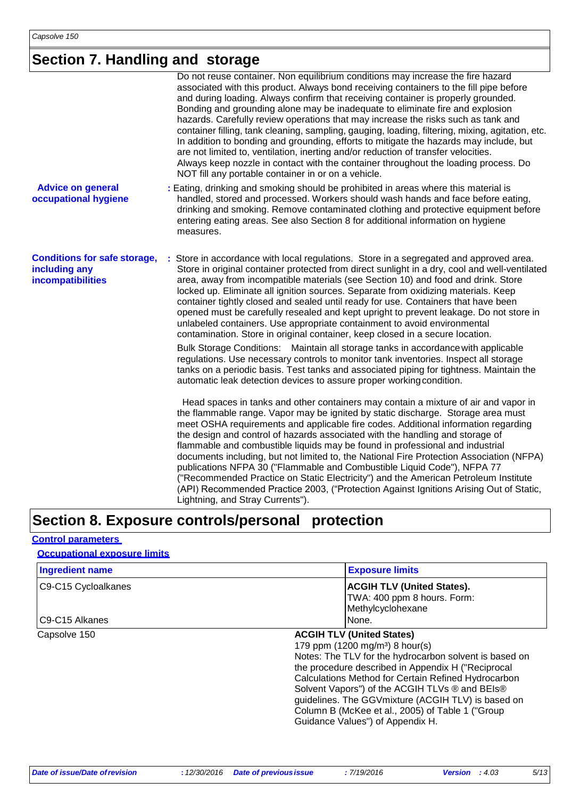### **Section 7. Handling and storage**

|                                                                           | Do not reuse container. Non equilibrium conditions may increase the fire hazard<br>associated with this product. Always bond receiving containers to the fill pipe before<br>and during loading. Always confirm that receiving container is properly grounded.<br>Bonding and grounding alone may be inadequate to eliminate fire and explosion<br>hazards. Carefully review operations that may increase the risks such as tank and<br>container filling, tank cleaning, sampling, gauging, loading, filtering, mixing, agitation, etc.<br>In addition to bonding and grounding, efforts to mitigate the hazards may include, but<br>are not limited to, ventilation, inerting and/or reduction of transfer velocities.<br>Always keep nozzle in contact with the container throughout the loading process. Do<br>NOT fill any portable container in or on a vehicle. |
|---------------------------------------------------------------------------|------------------------------------------------------------------------------------------------------------------------------------------------------------------------------------------------------------------------------------------------------------------------------------------------------------------------------------------------------------------------------------------------------------------------------------------------------------------------------------------------------------------------------------------------------------------------------------------------------------------------------------------------------------------------------------------------------------------------------------------------------------------------------------------------------------------------------------------------------------------------|
| <b>Advice on general</b><br>occupational hygiene                          | : Eating, drinking and smoking should be prohibited in areas where this material is<br>handled, stored and processed. Workers should wash hands and face before eating,<br>drinking and smoking. Remove contaminated clothing and protective equipment before<br>entering eating areas. See also Section 8 for additional information on hygiene<br>measures.                                                                                                                                                                                                                                                                                                                                                                                                                                                                                                          |
| <b>Conditions for safe storage,</b><br>including any<br>incompatibilities | : Store in accordance with local regulations. Store in a segregated and approved area.<br>Store in original container protected from direct sunlight in a dry, cool and well-ventilated<br>area, away from incompatible materials (see Section 10) and food and drink. Store<br>locked up. Eliminate all ignition sources. Separate from oxidizing materials. Keep<br>container tightly closed and sealed until ready for use. Containers that have been<br>opened must be carefully resealed and kept upright to prevent leakage. Do not store in<br>unlabeled containers. Use appropriate containment to avoid environmental<br>contamination. Store in original container, keep closed in a secure location.<br>Bulk Storage Conditions: Maintain all storage tanks in accordance with applicable                                                                   |
|                                                                           | regulations. Use necessary controls to monitor tank inventories. Inspect all storage<br>tanks on a periodic basis. Test tanks and associated piping for tightness. Maintain the<br>automatic leak detection devices to assure proper working condition.<br>Head spaces in tanks and other containers may contain a mixture of air and vapor in                                                                                                                                                                                                                                                                                                                                                                                                                                                                                                                         |
|                                                                           | the flammable range. Vapor may be ignited by static discharge. Storage area must<br>meet OSHA requirements and applicable fire codes. Additional information regarding<br>the design and control of hazards associated with the handling and storage of<br>flammable and combustible liquids may be found in professional and industrial<br>documents including, but not limited to, the National Fire Protection Association (NFPA)<br>publications NFPA 30 ("Flammable and Combustible Liquid Code"), NFPA 77<br>("Recommended Practice on Static Electricity") and the American Petroleum Institute<br>(API) Recommended Practice 2003, ("Protection Against Ignitions Arising Out of Static,<br>Lightning, and Stray Currents").                                                                                                                                   |

### **Section 8. Exposure controls/personal protection**

#### **Control parameters**

#### **Occupational exposure limits**

| <b>Ingredient name</b> | <b>Exposure limits</b>                                                                                                                                                                                                                                                                                                                                                                                                                                 |
|------------------------|--------------------------------------------------------------------------------------------------------------------------------------------------------------------------------------------------------------------------------------------------------------------------------------------------------------------------------------------------------------------------------------------------------------------------------------------------------|
| C9-C15 Cycloalkanes    | <b>ACGIH TLV (United States).</b><br>TWA: 400 ppm 8 hours. Form:<br>Methylcyclohexane                                                                                                                                                                                                                                                                                                                                                                  |
| C9-C15 Alkanes         | None.                                                                                                                                                                                                                                                                                                                                                                                                                                                  |
| Capsolve 150           | <b>ACGIH TLV (United States)</b><br>179 ppm (1200 mg/m <sup>3</sup> ) 8 hour(s)<br>Notes: The TLV for the hydrocarbon solvent is based on<br>the procedure described in Appendix H ("Reciprocal<br>Calculations Method for Certain Refined Hydrocarbon<br>Solvent Vapors") of the ACGIH TLVs ® and BEIs®<br>guidelines. The GGVmixture (ACGIH TLV) is based on<br>Column B (McKee et al., 2005) of Table 1 ("Group<br>Guidance Values") of Appendix H. |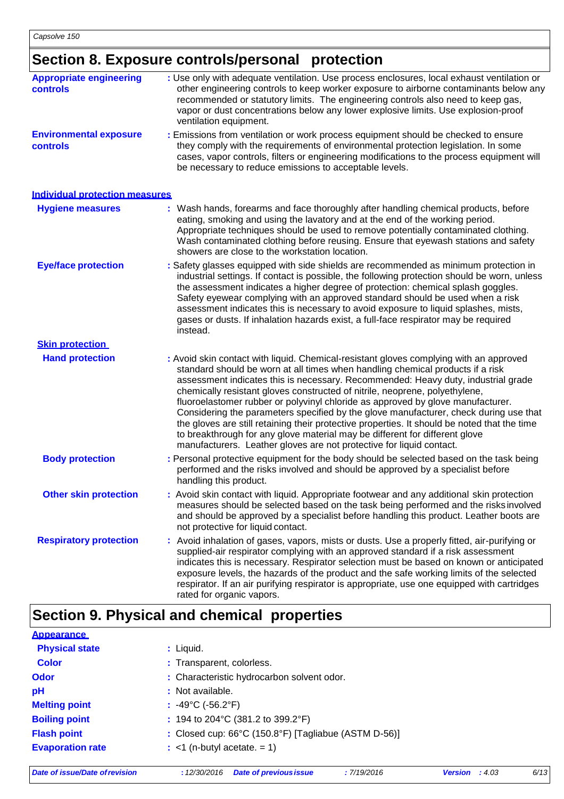### **Section 8. Exposure controls/personal protection**

| <b>Appropriate engineering</b><br><b>controls</b> | : Use only with adequate ventilation. Use process enclosures, local exhaust ventilation or<br>other engineering controls to keep worker exposure to airborne contaminants below any<br>recommended or statutory limits. The engineering controls also need to keep gas,<br>vapor or dust concentrations below any lower explosive limits. Use explosion-proof<br>ventilation equipment.                                                                                                                                                                                                                                                                                                                                                                                         |
|---------------------------------------------------|---------------------------------------------------------------------------------------------------------------------------------------------------------------------------------------------------------------------------------------------------------------------------------------------------------------------------------------------------------------------------------------------------------------------------------------------------------------------------------------------------------------------------------------------------------------------------------------------------------------------------------------------------------------------------------------------------------------------------------------------------------------------------------|
| <b>Environmental exposure</b><br>controls         | : Emissions from ventilation or work process equipment should be checked to ensure<br>they comply with the requirements of environmental protection legislation. In some<br>cases, vapor controls, filters or engineering modifications to the process equipment will<br>be necessary to reduce emissions to acceptable levels.                                                                                                                                                                                                                                                                                                                                                                                                                                                 |
| <b>Individual protection measures</b>             |                                                                                                                                                                                                                                                                                                                                                                                                                                                                                                                                                                                                                                                                                                                                                                                 |
| <b>Hygiene measures</b>                           | : Wash hands, forearms and face thoroughly after handling chemical products, before<br>eating, smoking and using the lavatory and at the end of the working period.<br>Appropriate techniques should be used to remove potentially contaminated clothing.<br>Wash contaminated clothing before reusing. Ensure that eyewash stations and safety<br>showers are close to the workstation location.                                                                                                                                                                                                                                                                                                                                                                               |
| <b>Eye/face protection</b>                        | : Safety glasses equipped with side shields are recommended as minimum protection in<br>industrial settings. If contact is possible, the following protection should be worn, unless<br>the assessment indicates a higher degree of protection: chemical splash goggles.<br>Safety eyewear complying with an approved standard should be used when a risk<br>assessment indicates this is necessary to avoid exposure to liquid splashes, mists,<br>gases or dusts. If inhalation hazards exist, a full-face respirator may be required<br>instead.                                                                                                                                                                                                                             |
| <b>Skin protection</b>                            |                                                                                                                                                                                                                                                                                                                                                                                                                                                                                                                                                                                                                                                                                                                                                                                 |
| <b>Hand protection</b>                            | : Avoid skin contact with liquid. Chemical-resistant gloves complying with an approved<br>standard should be worn at all times when handling chemical products if a risk<br>assessment indicates this is necessary. Recommended: Heavy duty, industrial grade<br>chemically resistant gloves constructed of nitrile, neoprene, polyethylene,<br>fluoroelastomer rubber or polyvinyl chloride as approved by glove manufacturer.<br>Considering the parameters specified by the glove manufacturer, check during use that<br>the gloves are still retaining their protective properties. It should be noted that the time<br>to breakthrough for any glove material may be different for different glove<br>manufacturers. Leather gloves are not protective for liquid contact. |
| <b>Body protection</b>                            | : Personal protective equipment for the body should be selected based on the task being<br>performed and the risks involved and should be approved by a specialist before<br>handling this product.                                                                                                                                                                                                                                                                                                                                                                                                                                                                                                                                                                             |
| <b>Other skin protection</b>                      | : Avoid skin contact with liquid. Appropriate footwear and any additional skin protection<br>measures should be selected based on the task being performed and the risks involved<br>and should be approved by a specialist before handling this product. Leather boots are<br>not protective for liquid contact.                                                                                                                                                                                                                                                                                                                                                                                                                                                               |
| <b>Respiratory protection</b>                     | : Avoid inhalation of gases, vapors, mists or dusts. Use a properly fitted, air-purifying or<br>supplied-air respirator complying with an approved standard if a risk assessment<br>indicates this is necessary. Respirator selection must be based on known or anticipated<br>exposure levels, the hazards of the product and the safe working limits of the selected<br>respirator. If an air purifying respirator is appropriate, use one equipped with cartridges<br>rated for organic vapors.                                                                                                                                                                                                                                                                              |

# **Section 9. Physical and chemical properties**

| <b>Appearance</b>       |                                                                           |
|-------------------------|---------------------------------------------------------------------------|
| <b>Physical state</b>   | $:$ Liquid.                                                               |
| <b>Color</b>            | : Transparent, colorless.                                                 |
| <b>Odor</b>             | : Characteristic hydrocarbon solvent odor.                                |
| pH                      | : Not available.                                                          |
| <b>Melting point</b>    | : $-49^{\circ}$ C ( $-56.2^{\circ}$ F)                                    |
| <b>Boiling point</b>    | : 194 to 204 °C (381.2 to 399.2 °F)                                       |
| <b>Flash point</b>      | : Closed cup: $66^{\circ}$ C (150.8 $^{\circ}$ F) [Tagliabue (ASTM D-56)] |
| <b>Evaporation rate</b> | $:$ <1 (n-butyl acetate. = 1)                                             |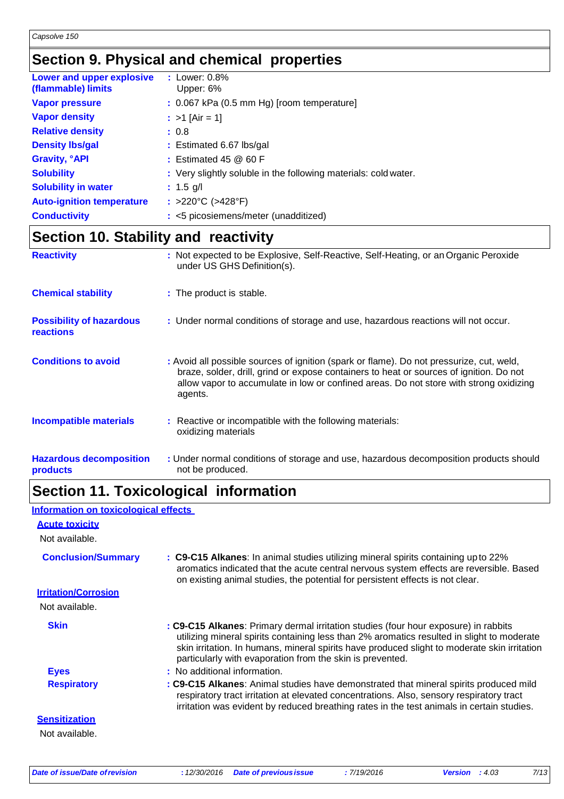### **Section 9. Physical and chemical properties**

| Lower and upper explosive<br>(flammable) limits | $:$ Lower: $0.8\%$<br>Upper: 6%                                 |
|-------------------------------------------------|-----------------------------------------------------------------|
| <b>Vapor pressure</b>                           | $: 0.067$ kPa (0.5 mm Hg) [room temperature]                    |
| <b>Vapor density</b>                            | : $>1$ [Air = 1]                                                |
| <b>Relative density</b>                         | : 0.8                                                           |
| <b>Density Ibs/gal</b>                          | : Estimated 6.67 lbs/gal                                        |
| <b>Gravity, °API</b>                            | $:$ Estimated 45 $@$ 60 F                                       |
| <b>Solubility</b>                               | : Very slightly soluble in the following materials: cold water. |
| <b>Solubility in water</b>                      | : $1.5$ g/l                                                     |
| <b>Auto-ignition temperature</b>                | : >220°C (>428°F)                                               |
| <b>Conductivity</b>                             | : <5 picosiemens/meter (unadditized)                            |

# **Section 10. Stability and reactivity**

| <b>Reactivity</b>                                   | : Not expected to be Explosive, Self-Reactive, Self-Heating, or an Organic Peroxide<br>under US GHS Definition(s).                                                                                                                                                                       |
|-----------------------------------------------------|------------------------------------------------------------------------------------------------------------------------------------------------------------------------------------------------------------------------------------------------------------------------------------------|
| <b>Chemical stability</b>                           | : The product is stable.                                                                                                                                                                                                                                                                 |
| <b>Possibility of hazardous</b><br><b>reactions</b> | : Under normal conditions of storage and use, hazardous reactions will not occur.                                                                                                                                                                                                        |
| <b>Conditions to avoid</b>                          | : Avoid all possible sources of ignition (spark or flame). Do not pressurize, cut, weld,<br>braze, solder, drill, grind or expose containers to heat or sources of ignition. Do not<br>allow vapor to accumulate in low or confined areas. Do not store with strong oxidizing<br>agents. |
| <b>Incompatible materials</b>                       | : Reactive or incompatible with the following materials:<br>oxidizing materials                                                                                                                                                                                                          |
| <b>Hazardous decomposition</b><br>products          | : Under normal conditions of storage and use, hazardous decomposition products should<br>not be produced.                                                                                                                                                                                |

#### not be produced.

### **Section 11. Toxicological information**

| Information on toxicological effects |                                                                                                                                                                                                                                                                                                                                                |
|--------------------------------------|------------------------------------------------------------------------------------------------------------------------------------------------------------------------------------------------------------------------------------------------------------------------------------------------------------------------------------------------|
| <b>Acute toxicity</b>                |                                                                                                                                                                                                                                                                                                                                                |
| Not available.                       |                                                                                                                                                                                                                                                                                                                                                |
| <b>Conclusion/Summary</b>            | : C9-C15 Alkanes: In animal studies utilizing mineral spirits containing up to 22%<br>aromatics indicated that the acute central nervous system effects are reversible. Based<br>on existing animal studies, the potential for persistent effects is not clear.                                                                                |
| <b>Irritation/Corrosion</b>          |                                                                                                                                                                                                                                                                                                                                                |
| Not available.                       |                                                                                                                                                                                                                                                                                                                                                |
| <b>Skin</b>                          | : C9-C15 Alkanes: Primary dermal irritation studies (four hour exposure) in rabbits<br>utilizing mineral spirits containing less than 2% aromatics resulted in slight to moderate<br>skin irritation. In humans, mineral spirits have produced slight to moderate skin irritation<br>particularly with evaporation from the skin is prevented. |
| <b>Eyes</b>                          | : No additional information.                                                                                                                                                                                                                                                                                                                   |
| <b>Respiratory</b>                   | : C9-C15 Alkanes: Animal studies have demonstrated that mineral spirits produced mild<br>respiratory tract irritation at elevated concentrations. Also, sensory respiratory tract<br>irritation was evident by reduced breathing rates in the test animals in certain studies.                                                                 |
| <b>Sensitization</b>                 |                                                                                                                                                                                                                                                                                                                                                |
| Not available.                       |                                                                                                                                                                                                                                                                                                                                                |
|                                      |                                                                                                                                                                                                                                                                                                                                                |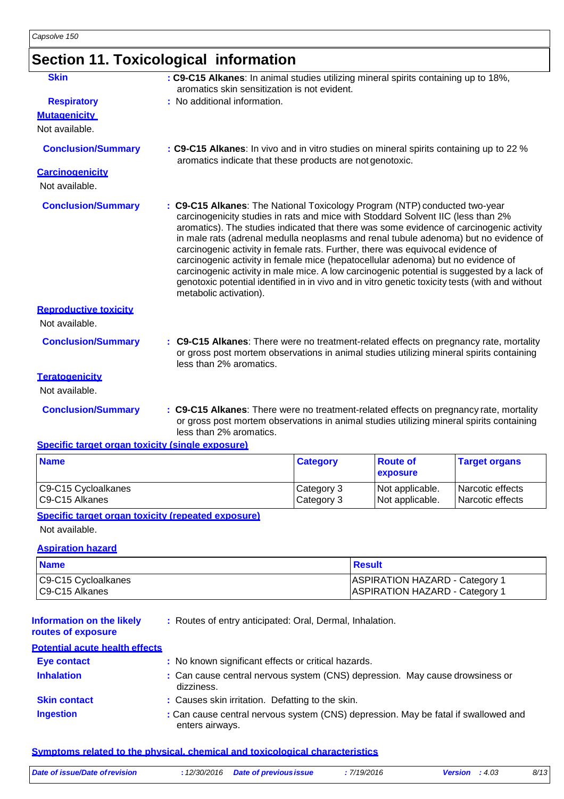# **Section 11. Toxicological information**

| <b>Skin</b>                                      | : C9-C15 Alkanes: In animal studies utilizing mineral spirits containing up to 18%,<br>aromatics skin sensitization is not evident.                                                                                                                                                                                                                                                                                                                                                                                                                                                                                                                                                                                                                |                 |                             |                      |
|--------------------------------------------------|----------------------------------------------------------------------------------------------------------------------------------------------------------------------------------------------------------------------------------------------------------------------------------------------------------------------------------------------------------------------------------------------------------------------------------------------------------------------------------------------------------------------------------------------------------------------------------------------------------------------------------------------------------------------------------------------------------------------------------------------------|-----------------|-----------------------------|----------------------|
| <b>Respiratory</b>                               | : No additional information.                                                                                                                                                                                                                                                                                                                                                                                                                                                                                                                                                                                                                                                                                                                       |                 |                             |                      |
| <b>Mutagenicity</b>                              |                                                                                                                                                                                                                                                                                                                                                                                                                                                                                                                                                                                                                                                                                                                                                    |                 |                             |                      |
| Not available.                                   |                                                                                                                                                                                                                                                                                                                                                                                                                                                                                                                                                                                                                                                                                                                                                    |                 |                             |                      |
| <b>Conclusion/Summary</b>                        | : C9-C15 Alkanes: In vivo and in vitro studies on mineral spirits containing up to 22 %<br>aromatics indicate that these products are not genotoxic.                                                                                                                                                                                                                                                                                                                                                                                                                                                                                                                                                                                               |                 |                             |                      |
| <b>Carcinogenicity</b><br>Not available.         |                                                                                                                                                                                                                                                                                                                                                                                                                                                                                                                                                                                                                                                                                                                                                    |                 |                             |                      |
| <b>Conclusion/Summary</b>                        | : C9-C15 Alkanes: The National Toxicology Program (NTP) conducted two-year<br>carcinogenicity studies in rats and mice with Stoddard Solvent IIC (less than 2%<br>aromatics). The studies indicated that there was some evidence of carcinogenic activity<br>in male rats (adrenal medulla neoplasms and renal tubule adenoma) but no evidence of<br>carcinogenic activity in female rats. Further, there was equivocal evidence of<br>carcinogenic activity in female mice (hepatocellular adenoma) but no evidence of<br>carcinogenic activity in male mice. A low carcinogenic potential is suggested by a lack of<br>genotoxic potential identified in in vivo and in vitro genetic toxicity tests (with and without<br>metabolic activation). |                 |                             |                      |
| <b>Reproductive toxicity</b>                     |                                                                                                                                                                                                                                                                                                                                                                                                                                                                                                                                                                                                                                                                                                                                                    |                 |                             |                      |
| Not available.                                   |                                                                                                                                                                                                                                                                                                                                                                                                                                                                                                                                                                                                                                                                                                                                                    |                 |                             |                      |
| <b>Conclusion/Summary</b>                        | : C9-C15 Alkanes: There were no treatment-related effects on pregnancy rate, mortality<br>or gross post mortem observations in animal studies utilizing mineral spirits containing<br>less than 2% aromatics.                                                                                                                                                                                                                                                                                                                                                                                                                                                                                                                                      |                 |                             |                      |
| <b>Teratogenicity</b><br>Not available.          |                                                                                                                                                                                                                                                                                                                                                                                                                                                                                                                                                                                                                                                                                                                                                    |                 |                             |                      |
| <b>Conclusion/Summary</b>                        | : C9-C15 Alkanes: There were no treatment-related effects on pregnancy rate, mortality<br>or gross post mortem observations in animal studies utilizing mineral spirits containing<br>less than 2% aromatics.                                                                                                                                                                                                                                                                                                                                                                                                                                                                                                                                      |                 |                             |                      |
| Specific target organ toxicity (single exposure) |                                                                                                                                                                                                                                                                                                                                                                                                                                                                                                                                                                                                                                                                                                                                                    |                 |                             |                      |
| <b>Name</b>                                      |                                                                                                                                                                                                                                                                                                                                                                                                                                                                                                                                                                                                                                                                                                                                                    | <b>Category</b> | <b>Route of</b><br>exposure | <b>Target organs</b> |

| $\cdots$ |  |  |  |
|----------|--|--|--|
|          |  |  |  |
|          |  |  |  |
|          |  |  |  |
|          |  |  |  |

C9-C15 Cycloalkanes

### C9-C15 Alkanes

#### **Specific target organ toxicity (repeated exposure)**

Not available.

#### **Aspiration hazard**

| <b>Name</b>         | ⊺Result                               |
|---------------------|---------------------------------------|
| C9-C15 Cycloalkanes | <b>ASPIRATION HAZARD - Category 1</b> |
| C9-C15 Alkanes      | <b>ASPIRATION HAZARD - Category 1</b> |

Category 3 Category 3

Not applicable. Not applicable. Narcotic effects Narcotic effects

| <b>Information on the likely</b> |  |
|----------------------------------|--|
| routes of exposure               |  |

**:** Routes of entry anticipated: Oral, Dermal, Inhalation.

**routes of exposure**

| <b>Potential acute health effects</b> |                                                                                                       |
|---------------------------------------|-------------------------------------------------------------------------------------------------------|
| Eye contact                           | : No known significant effects or critical hazards.                                                   |
| <b>Inhalation</b>                     | : Can cause central nervous system (CNS) depression. May cause drowsiness or<br>dizziness.            |
| <b>Skin contact</b>                   | : Causes skin irritation. Defatting to the skin.                                                      |
| <b>Ingestion</b>                      | : Can cause central nervous system (CNS) depression. May be fatal if swallowed and<br>enters airways. |

#### **Symptoms related to the physical, chemical and toxicological characteristics**

| Date of issue/Date of revision | : 12/30/2016 Date of previous issue | : 7/19/2016 | <b>Version</b> : $4.03$ | 8/13 |
|--------------------------------|-------------------------------------|-------------|-------------------------|------|
|                                |                                     |             |                         |      |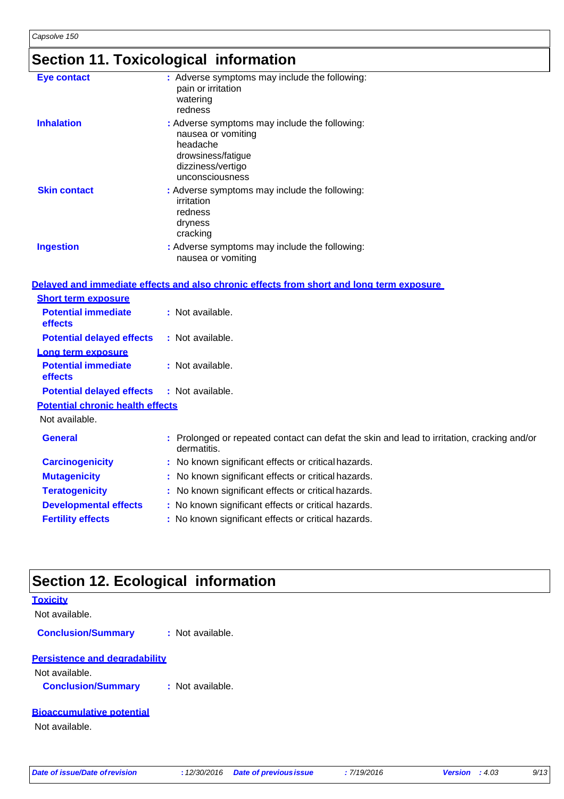# **Section 11. Toxicological information**

| <b>Eye contact</b>                           | : Adverse symptoms may include the following:<br>pain or irritation<br>watering<br>redness                                                    |
|----------------------------------------------|-----------------------------------------------------------------------------------------------------------------------------------------------|
| <b>Inhalation</b>                            | : Adverse symptoms may include the following:<br>nausea or vomiting<br>headache<br>drowsiness/fatigue<br>dizziness/vertigo<br>unconsciousness |
| <b>Skin contact</b>                          | : Adverse symptoms may include the following:<br>irritation<br>redness<br>dryness<br>cracking                                                 |
| <b>Ingestion</b>                             | : Adverse symptoms may include the following:<br>nausea or vomiting                                                                           |
|                                              | Delaved and immediate effects and also chronic effects from short and long term exposure                                                      |
| <b>Short term exposure</b>                   |                                                                                                                                               |
| <b>Potential immediate</b><br>effects        | : Not available.                                                                                                                              |
| <b>Potential delayed effects</b>             | : Not available.                                                                                                                              |
| Long term exposure                           |                                                                                                                                               |
| <b>Potential immediate</b><br><b>effects</b> | : Not available.                                                                                                                              |
| <b>Potential delayed effects</b>             | : Not available.                                                                                                                              |
| <b>Potential chronic health effects</b>      |                                                                                                                                               |
| Not available.                               |                                                                                                                                               |
| <b>General</b>                               | : Prolonged or repeated contact can defat the skin and lead to irritation, cracking and/or<br>dermatitis.                                     |
| <b>Carcinogenicity</b>                       | : No known significant effects or critical hazards.                                                                                           |
| <b>Mutagenicity</b>                          | : No known significant effects or critical hazards.                                                                                           |
| <b>Teratogenicity</b>                        | : No known significant effects or critical hazards.                                                                                           |
| <b>Developmental effects</b>                 | : No known significant effects or critical hazards.                                                                                           |
| <b>Fertility effects</b>                     | : No known significant effects or critical hazards.                                                                                           |
|                                              |                                                                                                                                               |

# **Section 12. Ecological information**

| <b>Toxicity</b>                      |                  |  |  |
|--------------------------------------|------------------|--|--|
| Not available.                       |                  |  |  |
| <b>Conclusion/Summary</b>            | : Not available. |  |  |
| <b>Persistence and degradability</b> |                  |  |  |
| Not available.                       |                  |  |  |
| <b>Conclusion/Summary</b>            | : Not available. |  |  |
| <b>Bioaccumulative potential</b>     |                  |  |  |
| Not available.                       |                  |  |  |
|                                      |                  |  |  |
|                                      |                  |  |  |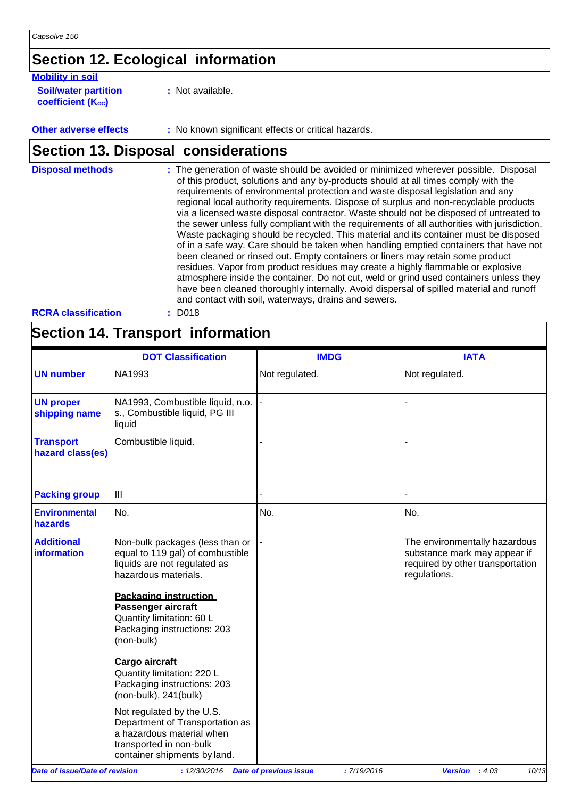# **Section 12. Ecological information**

#### **Mobility in soil**

**Soil/water partition coefficient** (K<sub>oc</sub>)

**:** Not available.

**Other adverse effects** : No known significant effects or critical hazards.

### **Section 13. Disposal considerations**

| <b>Disposal methods</b>    | : The generation of waste should be avoided or minimized wherever possible. Disposal<br>of this product, solutions and any by-products should at all times comply with the<br>requirements of environmental protection and waste disposal legislation and any<br>regional local authority requirements. Dispose of surplus and non-recyclable products<br>via a licensed waste disposal contractor. Waste should not be disposed of untreated to<br>the sewer unless fully compliant with the requirements of all authorities with jurisdiction.<br>Waste packaging should be recycled. This material and its container must be disposed<br>of in a safe way. Care should be taken when handling emptied containers that have not<br>been cleaned or rinsed out. Empty containers or liners may retain some product<br>residues. Vapor from product residues may create a highly flammable or explosive<br>atmosphere inside the container. Do not cut, weld or grind used containers unless they<br>have been cleaned thoroughly internally. Avoid dispersal of spilled material and runoff<br>and contact with soil, waterways, drains and sewers. |
|----------------------------|------------------------------------------------------------------------------------------------------------------------------------------------------------------------------------------------------------------------------------------------------------------------------------------------------------------------------------------------------------------------------------------------------------------------------------------------------------------------------------------------------------------------------------------------------------------------------------------------------------------------------------------------------------------------------------------------------------------------------------------------------------------------------------------------------------------------------------------------------------------------------------------------------------------------------------------------------------------------------------------------------------------------------------------------------------------------------------------------------------------------------------------------------|
| <b>RCRA classification</b> | $:$ D018                                                                                                                                                                                                                                                                                                                                                                                                                                                                                                                                                                                                                                                                                                                                                                                                                                                                                                                                                                                                                                                                                                                                             |

### **Section 14. Transport information**

|                                         | <b>DOT Classification</b>                                                                                                                                                                                                                                                                                                                                                                                                                                                                   | <b>IMDG</b>    | <b>IATA</b>                                                                                                       |
|-----------------------------------------|---------------------------------------------------------------------------------------------------------------------------------------------------------------------------------------------------------------------------------------------------------------------------------------------------------------------------------------------------------------------------------------------------------------------------------------------------------------------------------------------|----------------|-------------------------------------------------------------------------------------------------------------------|
| <b>UN number</b>                        | NA1993                                                                                                                                                                                                                                                                                                                                                                                                                                                                                      | Not regulated. | Not regulated.                                                                                                    |
| <b>UN proper</b><br>shipping name       | NA1993, Combustible liquid, n.o.<br>s., Combustible liquid, PG III<br>liquid                                                                                                                                                                                                                                                                                                                                                                                                                |                |                                                                                                                   |
| <b>Transport</b><br>hazard class(es)    | Combustible liquid.                                                                                                                                                                                                                                                                                                                                                                                                                                                                         |                |                                                                                                                   |
| <b>Packing group</b>                    | III                                                                                                                                                                                                                                                                                                                                                                                                                                                                                         |                |                                                                                                                   |
| <b>Environmental</b><br>hazards         | No.                                                                                                                                                                                                                                                                                                                                                                                                                                                                                         | No.            | No.                                                                                                               |
| <b>Additional</b><br><b>information</b> | Non-bulk packages (less than or<br>equal to 119 gal) of combustible<br>liquids are not regulated as<br>hazardous materials.<br><b>Packaging instruction</b><br>Passenger aircraft<br>Quantity limitation: 60 L<br>Packaging instructions: 203<br>(non-bulk)<br>Cargo aircraft<br>Quantity limitation: 220 L<br>Packaging instructions: 203<br>(non-bulk), 241(bulk)<br>Not regulated by the U.S.<br>Department of Transportation as<br>a hazardous material when<br>transported in non-bulk |                | The environmentally hazardous<br>substance mark may appear if<br>required by other transportation<br>regulations. |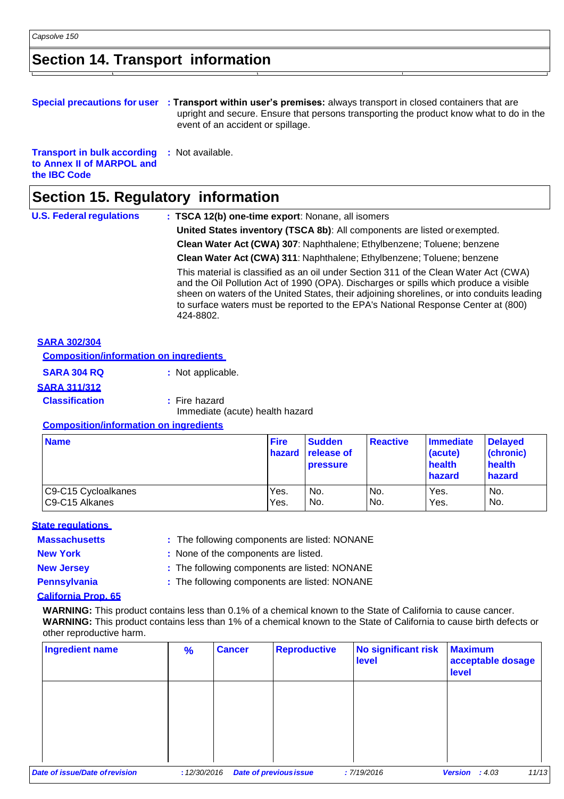### **Section 14. Transport information**

|                                                                                                         | Special precautions for user : Transport within user's premises: always transport in closed containers that are<br>upright and secure. Ensure that persons transporting the product know what to do in the<br>event of an accident or spillage. |
|---------------------------------------------------------------------------------------------------------|-------------------------------------------------------------------------------------------------------------------------------------------------------------------------------------------------------------------------------------------------|
| <b>Transport in bulk according : Not available.</b><br>to Annex II of MARPOL and<br>the <b>IBC</b> Code |                                                                                                                                                                                                                                                 |

### **Section 15. Regulatory information**

| <b>U.S. Federal regulations</b> | : TSCA 12(b) one-time export: Nonane, all isomers                                                                                                                                                                                                                                                                                                                             |
|---------------------------------|-------------------------------------------------------------------------------------------------------------------------------------------------------------------------------------------------------------------------------------------------------------------------------------------------------------------------------------------------------------------------------|
|                                 | United States inventory (TSCA 8b): All components are listed or exempted.                                                                                                                                                                                                                                                                                                     |
|                                 | Clean Water Act (CWA) 307: Naphthalene; Ethylbenzene; Toluene; benzene                                                                                                                                                                                                                                                                                                        |
|                                 | Clean Water Act (CWA) 311: Naphthalene; Ethylbenzene; Toluene; benzene                                                                                                                                                                                                                                                                                                        |
|                                 | This material is classified as an oil under Section 311 of the Clean Water Act (CWA)<br>and the Oil Pollution Act of 1990 (OPA). Discharges or spills which produce a visible<br>sheen on waters of the United States, their adjoining shorelines, or into conduits leading<br>to surface waters must be reported to the EPA's National Response Center at (800)<br>424-8802. |

| <b>Composition/information on ingredients</b> |                   |
|-----------------------------------------------|-------------------|
| <b>SARA 304 RQ</b>                            | : Not applicable. |
| <b>SARA 311/312</b>                           |                   |

**Classification : Fire hazard** 

Immediate (acute) health hazard

#### **Composition/information on ingredients**

| <b>Name</b>         | <b>Fire</b><br><b>hazard</b> | <b>Sudden</b><br><b>release of</b><br><b>pressure</b> | <b>Reactive</b> | Immediate<br>(acute)<br>health<br>hazard | <b>Delaved</b><br>(chronic)<br>health<br>hazard |
|---------------------|------------------------------|-------------------------------------------------------|-----------------|------------------------------------------|-------------------------------------------------|
| C9-C15 Cycloalkanes | Yes.                         | No.                                                   | No.             | Yes.                                     | No.                                             |
| C9-C15 Alkanes      | Yes.                         | No.                                                   | No.             | Yes.                                     | No.                                             |

#### **State regulations**

**Massachusetts :** The following components are listed: NONANE

**New York :** None of the components are listed.

**New Jersey :** The following components are listed: NONANE

**Pennsylvania :** The following components are listed: NONANE

#### **California Prop. 65**

**WARNING:** This product contains less than 0.1% of a chemical known to the State of California to cause cancer. **WARNING:** This product contains less than 1% of a chemical known to the State of California to cause birth defects or other reproductive harm.

| <b>Ingredient name</b>        | $\frac{9}{6}$ | <b>Reproductive</b><br><b>Cancer</b> | No significant risk<br>level | <b>Maximum</b><br>acceptable dosage<br>level |       |
|-------------------------------|---------------|--------------------------------------|------------------------------|----------------------------------------------|-------|
|                               |               |                                      |                              |                                              |       |
|                               |               |                                      |                              |                                              |       |
| ate of issue/Date of revision | : 12/30/2016  | <b>Date of previous issue</b>        | :7/19/2016                   | <b>Version</b> : $4.03$                      | 11/1: |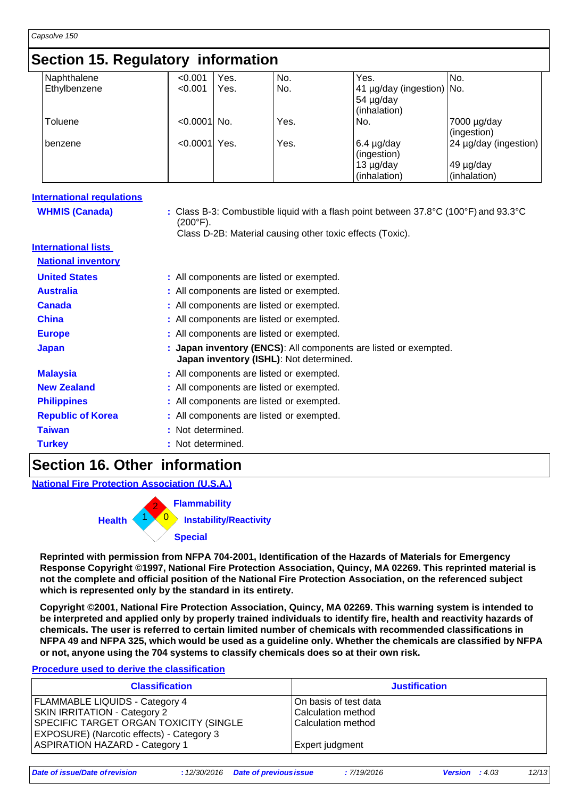### **Section 15. Regulatory information**

|              | < 0.001     | Yes. | No.                        | Yes.           |                 |                                                                                                      |
|--------------|-------------|------|----------------------------|----------------|-----------------|------------------------------------------------------------------------------------------------------|
| Ethylbenzene | < 0.001     | Yes. | No.                        |                |                 |                                                                                                      |
|              |             |      |                            | 54 µg/day      |                 |                                                                                                      |
|              |             |      |                            | (inhalation)   |                 |                                                                                                      |
| Toluene      |             |      | Yes.                       | No.            |                 |                                                                                                      |
|              |             |      |                            |                |                 |                                                                                                      |
| benzene      |             | Yes. | Yes.                       |                |                 |                                                                                                      |
|              |             |      |                            | (ingestion)    |                 |                                                                                                      |
|              |             |      |                            | $13 \mu g/day$ |                 |                                                                                                      |
|              |             |      |                            | (inhalation)   | (inhalation)    |                                                                                                      |
|              | Naphthalene |      | $< 0.0001$ No.<br>< 0.0001 |                | $6.4 \mu g/day$ | No.<br>41 µg/day (ingestion) No.<br>7000 µg/day<br>(ingestion)<br>24 µg/day (ingestion)<br>49 µg/day |

| <b>International requlations</b> |                                                                                                                                                                                                        |
|----------------------------------|--------------------------------------------------------------------------------------------------------------------------------------------------------------------------------------------------------|
| <b>WHMIS (Canada)</b>            | : Class B-3: Combustible liquid with a flash point between $37.8^{\circ}$ C (100 $^{\circ}$ F) and 93.3 $^{\circ}$ C<br>$(200^{\circ}F).$<br>Class D-2B: Material causing other toxic effects (Toxic). |
| <b>International lists</b>       |                                                                                                                                                                                                        |
| <b>National inventory</b>        |                                                                                                                                                                                                        |
| <b>United States</b>             | : All components are listed or exempted.                                                                                                                                                               |
| <b>Australia</b>                 | : All components are listed or exempted.                                                                                                                                                               |
| <b>Canada</b>                    | : All components are listed or exempted.                                                                                                                                                               |
| <b>China</b>                     | : All components are listed or exempted.                                                                                                                                                               |
| <b>Europe</b>                    | : All components are listed or exempted.                                                                                                                                                               |
| <b>Japan</b>                     | Japan inventory (ENCS): All components are listed or exempted.<br>Japan inventory (ISHL): Not determined.                                                                                              |
| <b>Malaysia</b>                  | : All components are listed or exempted.                                                                                                                                                               |
| <b>New Zealand</b>               | : All components are listed or exempted.                                                                                                                                                               |
| <b>Philippines</b>               | : All components are listed or exempted.                                                                                                                                                               |
| <b>Republic of Korea</b>         | : All components are listed or exempted.                                                                                                                                                               |
| <b>Taiwan</b>                    | : Not determined.                                                                                                                                                                                      |
| <b>Turkey</b>                    | : Not determined.                                                                                                                                                                                      |
| . .                              | .                                                                                                                                                                                                      |

#### **Section 16. Other information**

**National Fire Protection Association (U.S.A.)**



**Reprinted with permission from NFPA 704-2001, Identification of the Hazards of Materials for Emergency Response Copyright ©1997, National Fire Protection Association, Quincy, MA 02269. This reprinted material is not the complete and official position of the National Fire Protection Association, on the referenced subject which is represented only by the standard in its entirety.**

**Copyright ©2001, National Fire Protection Association, Quincy, MA 02269. This warning system is intended to be interpreted and applied only by properly trained individuals to identify fire, health and reactivity hazards of chemicals. The user is referred to certain limited number of chemicals with recommended classifications in**  NFPA 49 and NFPA 325, which would be used as a guideline only. Whether the chemicals are classified by NFPA **or not, anyone using the 704 systems to classify chemicals does so at their own risk.**

#### **Procedure used to derive the classification**

| <b>Classification</b>                            | <b>Justification</b>  |
|--------------------------------------------------|-----------------------|
| <b>FLAMMABLE LIQUIDS - Category 4</b>            | On basis of test data |
| <b>SKIN IRRITATION - Category 2</b>              | Calculation method    |
| SPECIFIC TARGET ORGAN TOXICITY (SINGLE           | Calculation method    |
| <b>EXPOSURE)</b> (Narcotic effects) - Category 3 |                       |
| <b>ASPIRATION HAZARD - Category 1</b>            | Expert judgment       |